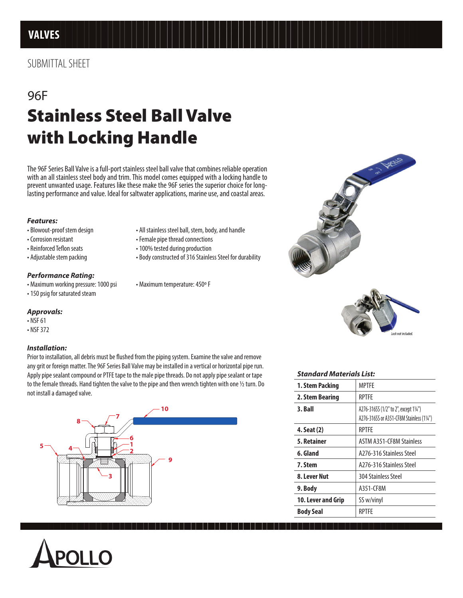# 96F Stainless Steel Ball Valve with Locking Handle

The 96F Series Ball Valve is a full-port stainless steel ball valve that combines reliable operation with an all stainless steel body and trim. This model comes equipped with a locking handle to prevent unwanted usage. Features like these make the 96F series the superior choice for longlasting performance and value. Ideal for saltwater applications, marine use, and coastal areas.

### *Features:*

- 
- 
- 
- 

## *Performance Rating:*

- Maximum working pressure: 1000 psi Maximum temperature: 450º F
- 150 psig for saturated steam

# *Approvals:*

- NSF 61
- NSF 372

## *Installation:*

Prior to installation, all debris must be flushed from the piping system. Examine the valve and remove any grit or foreign matter. The 96F Series Ball Valve may be installed in a vertical or horizontal pipe run. Apply pipe sealant compound or PTFE tape to the male pipe threads. Do not apply pipe sealant or tape to the female threads. Hand tighten the valve to the pipe and then wrench tighten with one ½ turn. Do not install a damaged valve.





- Blowout-proof stem design All stainless steel ball, stem, body, and handle
- Corrosion resistant Female pipe thread connections
- Reinforced Teflon seats 100% tested during production
- Adjustable stem packing Body constructed of 316 Stainless Steel for durability



#### *Standard Materials List:*

| 1. Stem Packing           | <b>MPTFF</b>                                                                       |
|---------------------------|------------------------------------------------------------------------------------|
| 2. Stem Bearing           | <b>RPTFE</b>                                                                       |
| 3. Ball                   | A276-316SS (1/2" to 2", except 11/4")<br>A276-316SS or A351-CF8M Stainless (11/4") |
| 4. Seat (2)               | <b>RPTFF</b>                                                                       |
| 5. Retainer               | <b>ASTM A351-CF8M Stainless</b>                                                    |
| 6. Gland                  | A276-316 Stainless Steel                                                           |
| 7. Stem                   | A276-316 Stainless Steel                                                           |
| 8. Lever Nut              | <b>304 Stainless Steel</b>                                                         |
| 9. Body                   | A351-CF8M                                                                          |
| <b>10. Lever and Grip</b> | SS w/vinyl                                                                         |
| <b>Body Seal</b>          | <b>RPTFF</b>                                                                       |
|                           |                                                                                    |

ock not included